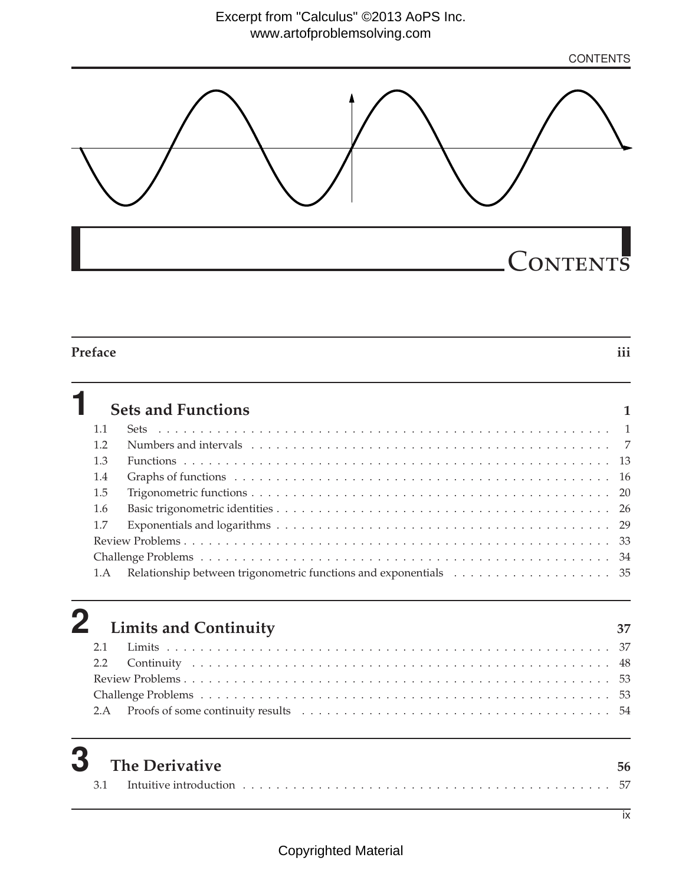**CONTENTS** 



### **Preface iii**

**1 Sets and Functions <sup>1</sup>** 1.1 Sets . . . . . . . . . . . . . . . . . . . . . . . . . . . . . . . . . . . . . . . . . . . . . . . . . . . . . . 1 1.2 Numbers and intervals . . . . . . . . . . . . . . . . . . . . . . . . . . . . . . . . . . . . . . . . . . . 7 1.3 Functions . . . . . . . . . . . . . . . . . . . . . . . . . . . . . . . . . . . . . . . . . . . . . . . . . . . 13 1.4 Graphs of functions . . . . . . . . . . . . . . . . . . . . . . . . . . . . . . . . . . . . . . . . . . . . . 16 1.5 Trigonometric functions . . . . . . . . . . . . . . . . . . . . . . . . . . . . . . . . . . . . . . . . . . . 20 1.6 Basic trigonometric identities . . . . . . . . . . . . . . . . . . . . . . . . . . . . . . . . . . . . . . . . 26 1.7 Exponentials and logarithms . . . . . . . . . . . . . . . . . . . . . . . . . . . . . . . . . . . . . . . . 29 Review Problems . . . . . . . . . . . . . . . . . . . . . . . . . . . . . . . . . . . . . . . . . . . . . . . . . . . 33 Challenge Problems . . . . . . . . . . . . . . . . . . . . . . . . . . . . . . . . . . . . . . . . . . . . . . . . . 34 1.A Relationship between trigonometric functions and exponentials . . . . . . . . . . . . . . . . . . . 35

|  | $\bf 2$ Limits and Continuity | - 37 |
|--|-------------------------------|------|
|  |                               |      |
|  |                               |      |
|  |                               |      |
|  |                               |      |
|  |                               |      |
|  |                               |      |

| Λ | $\mathbf{\mathcal{J}}$ The Derivative |  |
|---|---------------------------------------|--|
|   |                                       |  |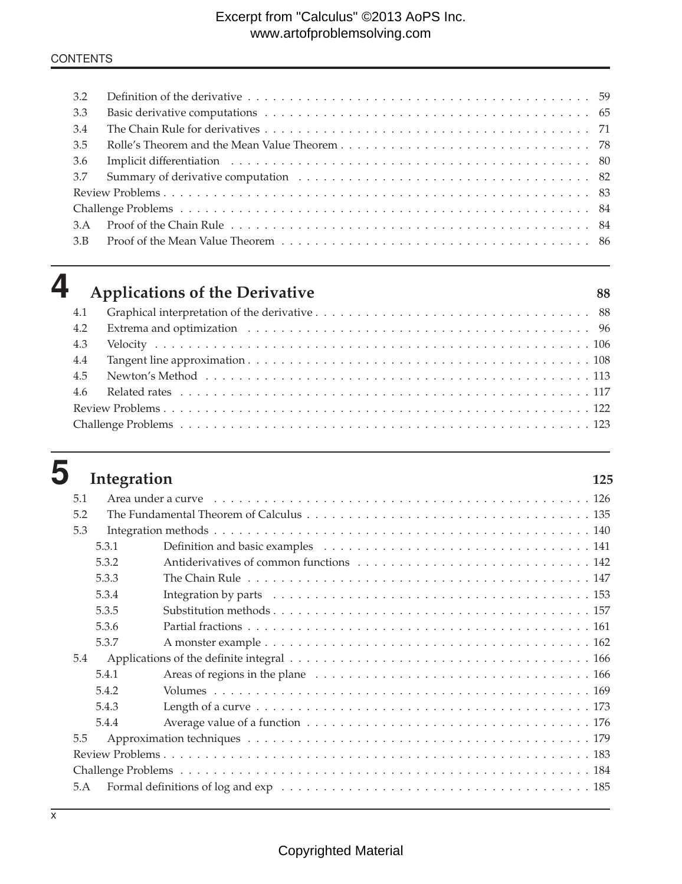## Excerpt from "Calculus" ©2013 AoPS Inc. www.artofproblemsolving.com

### **CONTENTS**

| 3.2 |  |
|-----|--|
| 3.3 |  |
| 3.4 |  |
| 3.5 |  |
| 3.6 |  |
| 3.7 |  |
|     |  |
|     |  |
| 3.A |  |
| 3.B |  |
|     |  |

| <b>Applications of the</b> |  |
|----------------------------|--|
|                            |  |

| ٠<br>۰,<br>I<br>٠<br>× | ٠<br>۰,<br>I<br>٠<br>× |
|------------------------|------------------------|
| ۰.                     | ×                      |
| ×                      | ۰.                     |
|                        |                        |

|     | $\boldsymbol{4}$ Applications of the Derivative | 88 |
|-----|-------------------------------------------------|----|
| 4.1 |                                                 |    |
| 4.2 |                                                 |    |
| 4.3 |                                                 |    |
| 4.4 |                                                 |    |
| 4.5 |                                                 |    |
| 4.6 |                                                 |    |
|     |                                                 |    |
|     |                                                 |    |

| ٧<br>__ | w |
|---------|---|

| Integration |                                                                                                                                                                                                                                | 125 |
|-------------|--------------------------------------------------------------------------------------------------------------------------------------------------------------------------------------------------------------------------------|-----|
| 5.1         | Area under a curve excluded and solution of the contract of the contract of the contract of the contract of the contract of the contract of the contract of the contract of the contract of the contract of the contract of th |     |
| 5.2         |                                                                                                                                                                                                                                |     |
| 5.3         |                                                                                                                                                                                                                                |     |
| 5.3.1       |                                                                                                                                                                                                                                |     |
| 5.3.2       |                                                                                                                                                                                                                                |     |
| 5.3.3       |                                                                                                                                                                                                                                |     |
| 5.3.4       |                                                                                                                                                                                                                                |     |
| 5.3.5       |                                                                                                                                                                                                                                |     |
| 5.3.6       |                                                                                                                                                                                                                                |     |
| 5.3.7       |                                                                                                                                                                                                                                |     |
| 5.4         |                                                                                                                                                                                                                                |     |
| 5.4.1       |                                                                                                                                                                                                                                |     |
| 5.4.2       |                                                                                                                                                                                                                                |     |
| 5.4.3       |                                                                                                                                                                                                                                |     |
| 5.4.4       |                                                                                                                                                                                                                                |     |
| 5.5         |                                                                                                                                                                                                                                |     |
|             |                                                                                                                                                                                                                                |     |
|             |                                                                                                                                                                                                                                |     |
| 5.A         |                                                                                                                                                                                                                                |     |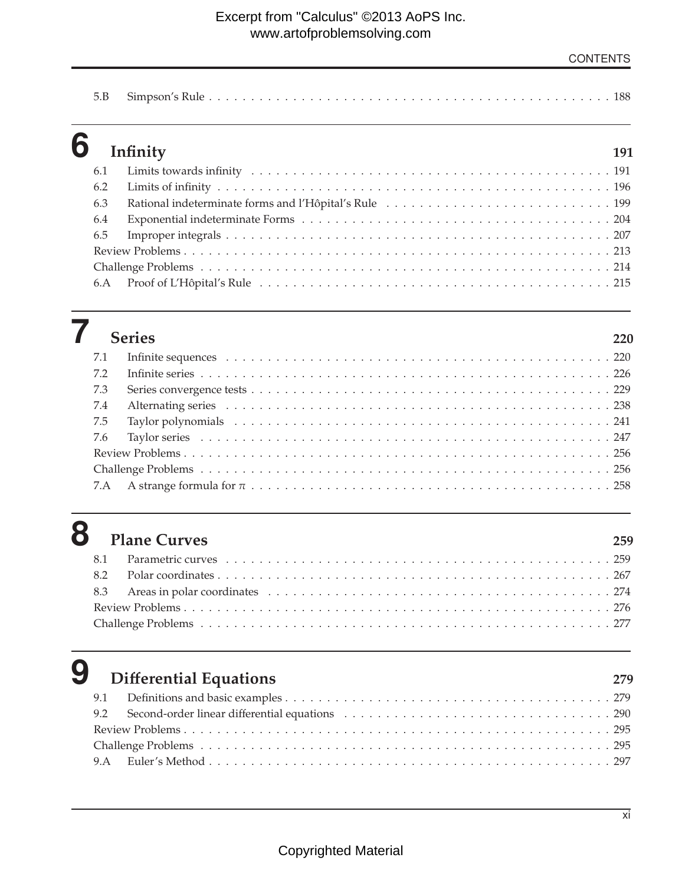|--|--|

|     | $6$ Infinity | 191 |
|-----|--------------|-----|
| 6.1 |              |     |
| 6.2 |              |     |
| 6.3 |              |     |
| 6.4 |              |     |
| 6.5 |              |     |
|     |              |     |
|     |              |     |
|     |              |     |

|     | 7 Series |     |
|-----|----------|-----|
|     |          | 220 |
| 7.1 |          |     |
| 7.2 |          |     |
| 7.3 |          |     |
| 7.4 |          |     |
| 7.5 |          |     |
|     |          |     |
|     |          |     |
|     |          |     |
|     |          |     |

## **8 Plane Curves <sup>259</sup>**

# **9 Differential Equations 279**